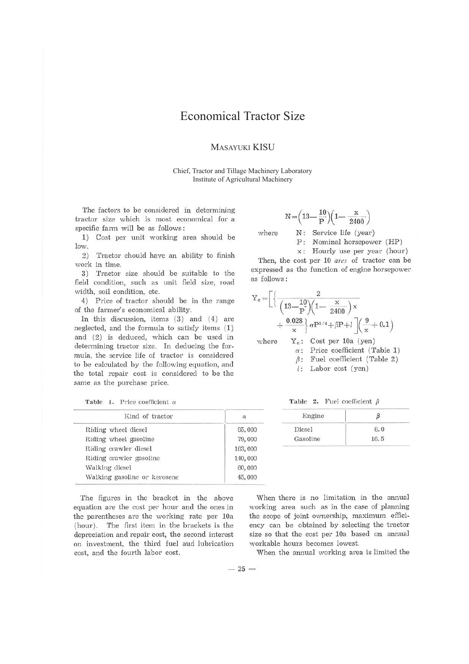# Economical Tractor Size

# MASAYUKI KISU

Chief, Tractor and Tillage Machinery Laboratory Institute of Agricultural Machinery

The factors to be considered in determining tractor size which is most economical for a specific farm will be as follows :

1) Cost per unit working area should be low.

2) Tractor chould have an ability to finish work in time.

3) Tractor size should be suitable to the field condition, such as unit field size, road width, soil condition, etc.

4) Price of tractor should be in the range of the farmer's economical ability.

In this discussion, items  $(3)$  and  $(4)$  are neglected, and the formula to satisfy items ( 1) and (2) is deduced, which can be used in determining tractor size. In deducing the formula, the service life of tractor is considered to be calculated by the following equation, and the total repair cost is considered to be the same as the purchase price.

Table 1. Price coefficient  $\alpha$ 

| Kind of tractor              | $\alpha$ |
|------------------------------|----------|
| Riding wheel diesel          | 95,000   |
| Riding wheel gasoline        | 79,000   |
| Riding crawler diesel        | 163,000  |
| Riding crawler gasoline      | 140,000  |
| Walking diesel               | 60,000   |
| Walking gasoline or kerosene | 45,000   |

The figures in the bracket in the above equation are the cost per hour and the ones in the parentheses are the working rate per 10a (hour). The first item in the brackets is the depreciation and repair cost, the second interest on investment, the third fuel aud lubrication cost, and the fourth labor cost.

$$
N\!=\!\!\left(13\!-\!\frac{10}{P}\right)\!\!\left(1\!-\!\frac{x}{2400}\right)
$$

where  $N$ : Service life (year)

P: Nominal horsepower (HP)

x: Hourly use per year (hour)

Then, the cost per 10 *ares* of tractor can be expressed as the function of engine horsepower as follows :

$$
Y_a = \left[ \left\{ \frac{2}{\left( 13 - \frac{10}{P} \right) \left( 1 - \frac{x}{2400} \right) x} + \frac{0.028}{x} \right\} \alpha P^{3/4} + \beta P + l \right] \left( \frac{9}{x} + 0.1 \right)
$$
  
where  $Y_a$ : Cost per 10a (yen)

 $\alpha$ : Price coefficient (Table 1)

- $\beta$ : Fuel coefficient (Table 2)
- *l :* Labor cost (yen)

Table 2. Fuel coefficient  $\beta$ 

| $\alpha$ | Engine   |      |  |  |
|----------|----------|------|--|--|
| 95,000   | Diesel   | 6.0  |  |  |
| 79,000   | Gasoline | 16.5 |  |  |

When there is no limitation in the annual working area such as in the case of planning the scope of joint ownership, maximum efficiency can be obtained by selecting the tractor size so that the cost per 10a based on annual workable hours becomes lowest.

When the annual working area is limited the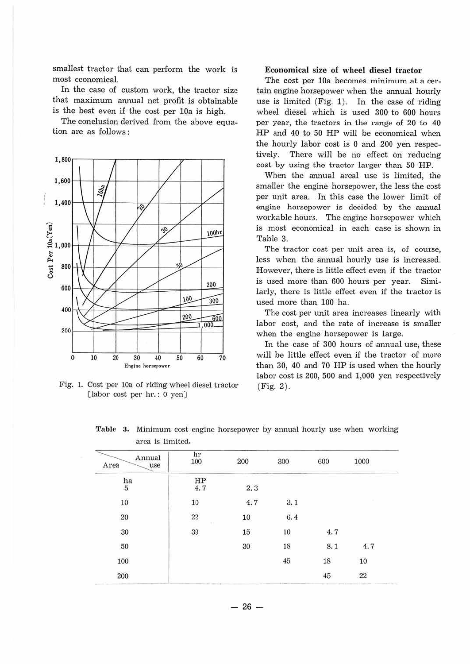smallest tractor that can perform the work is most economical.

In the case of custom work, the tractor size that maximum annual net profit is obtainable is the best even if the cost per 10a is high.

The conclusion derived from the above equation are as follows :



Fig. 1. Cost per 10a of riding wheel diesel tractor (labor cost per hr. : O yen)

## **Economical size of wheel diesel tractor**

The cost per 10a becomes minimum at a certain engine horsepower when the annual hourly use is limited  $(Fig. 1)$ . In the case of riding wheel diesel which is used 300 to 600 hours per year, the tractors in the range of 20 to 40 HP and 40 to 50 HP will be economical when the hourly labor cost *is* O and 200 yen respectively. There will be no effect on reducing cost by using the tractor larger than 50 HP.

When the annual areal use is limited, the smaller the engine horsepower, the less the cost per unit area. In this case the lower limit of engine horsepower is decided by the annual workable hours. The engine horsepower which is most economical in each case is shown in Table 3.

The tractor cost per unit area is, of course, less when the annual hourly use is increased. However, there is little effect even if the tractor *is* used more than 600 hours per year. Similarly, there is little effect even if the tractor is used more than 100 ha.

The cost per unit area increases linearly with labor cost, and the rate of increase is smaller when the engine horsepower *is* large.

In the case of 300 hours of annual use, these will be little effect even if the tractor of more than 30, 40 and 70 HP is used when the hourly labor cost is 200, 500 and 1,000 yen respectively (Fig. 2).

| Annual<br>Area<br>use | hr<br>100                     | 200  | 300 | 600 | 1000   |
|-----------------------|-------------------------------|------|-----|-----|--------|
| ha<br>5               | HP<br>4.7                     | 2, 3 |     |     |        |
| 10<br>- -             | 10                            | 4.7  | 3.1 |     |        |
| $20\,$                | $\overline{22}$<br>$\alpha$ . | 10   | 6.4 |     |        |
| 30                    | 39                            | 15   | 10  | 4.7 |        |
| 50                    |                               | 30   | 18  | 8.1 | 4.7    |
| 100                   |                               |      | 45  | 18  | 10     |
| 200                   |                               |      |     | 45  | $22\,$ |

Table 3, Minimum cost engine horsepower by annual hourly use when working area is limited.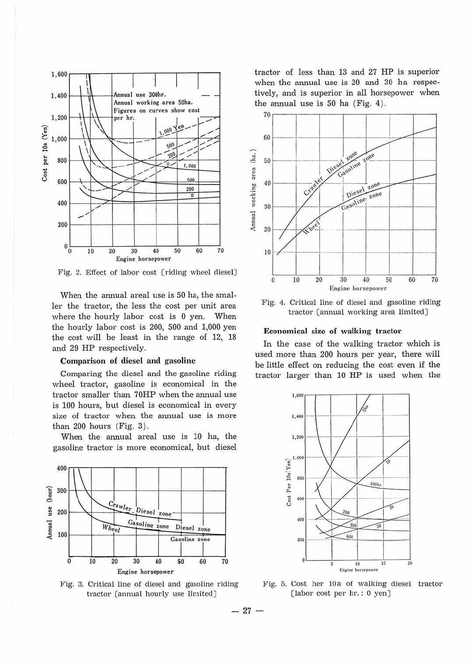

Fig. 2. Effect of labor cost [riding wheel diesel]

When the annual areal use is 50 ha, the smaller the tractor, the less the cost per unit area where the hourly labor cost is 0 yen. When the hourly labor cost is 200, 500 and 1,000 yen the cost will be least in the range of 12, 18 and 29 HP respectively.

#### Comparison of diesel and gasoline

Comparing the diesel and the gasoline riding wheel tractor, gasoline is economical in the tractor smaller than 70HP when the annual use is 100 hours, but diesel is economical in every size of tractor when the annual use is more than  $200$  hours (Fig. 3).

When the annual areal use is 10 ha, the gasoline tractor is more economical, but diesel



Fig. 3. Critical line of diesel and gasoline riding tractor [annual hourly use limited]

tractor of less than 13 and 27 HP is superior when the annual use is 20 and 30 ha respectively, and is superior in all horsepower when the annual use is  $50$  ha (Fig. 4).



Fig. 4. Critical line of diesel and gasoline riding tractor [annual working area limited]

#### Economical size of walking tractor

In the case of the walking tractor which is used more than 200 hours per year, there will be little effect on reducing the cost even if the tractor larger than 10 HP is used when the



Fig. 5. Cost her 10a of walking diesel tractor [labor cost per hr.: 0 yen]